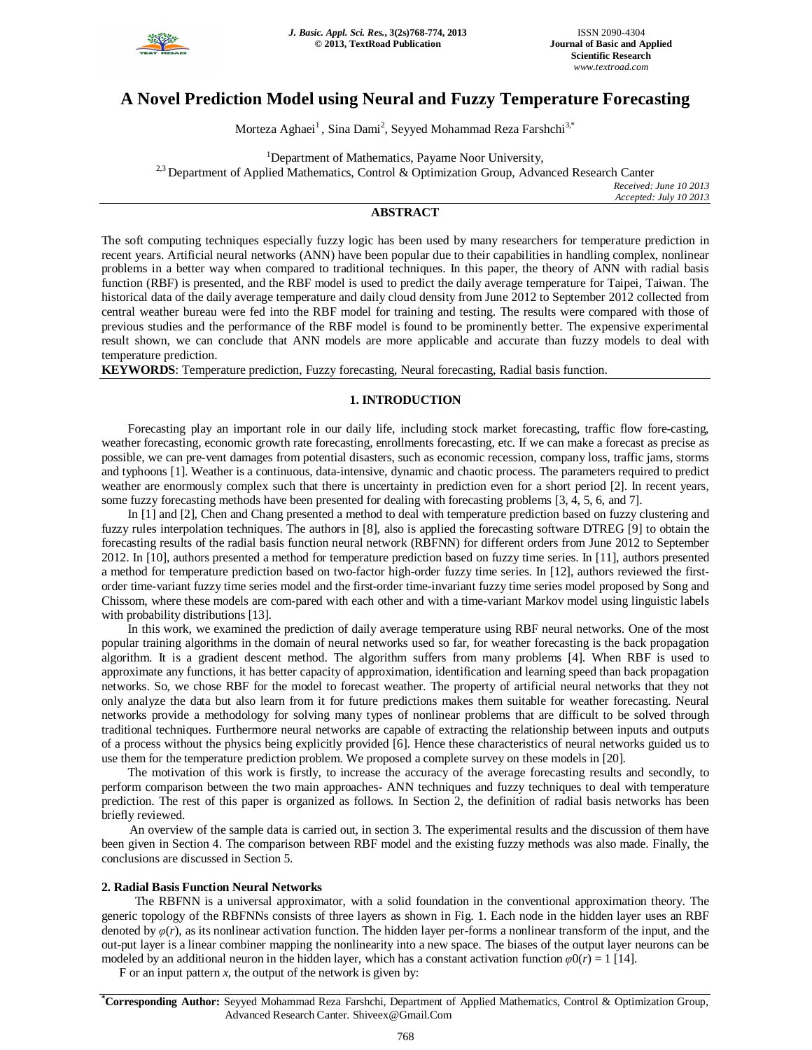

*J. Basic. Appl. Sci. Res.***, 3(2s)768-774, 2013 © 2013, TextRoad Publication**

# **A Novel Prediction Model using Neural and Fuzzy Temperature Forecasting**

Morteza Aghaei $^1$ , Sina Dami $^2$ , Seyyed Mohammad Reza Farshchi $^{3,*}$ 

<sup>1</sup>Department of Mathematics, Payame Noor University, <sup>2,3</sup> Department of Applied Mathematics, Control & Optimization Group, Advanced Research Canter

*Received: June 10 2013 Accepted: July 10 2013*

## **ABSTRACT**

The soft computing techniques especially fuzzy logic has been used by many researchers for temperature prediction in recent years. Artificial neural networks (ANN) have been popular due to their capabilities in handling complex, nonlinear problems in a better way when compared to traditional techniques. In this paper, the theory of ANN with radial basis function (RBF) is presented, and the RBF model is used to predict the daily average temperature for Taipei, Taiwan. The historical data of the daily average temperature and daily cloud density from June 2012 to September 2012 collected from central weather bureau were fed into the RBF model for training and testing. The results were compared with those of previous studies and the performance of the RBF model is found to be prominently better. The expensive experimental result shown, we can conclude that ANN models are more applicable and accurate than fuzzy models to deal with temperature prediction.

**KEYWORDS**: Temperature prediction, Fuzzy forecasting, Neural forecasting, Radial basis function.

## **1. INTRODUCTION**

Forecasting play an important role in our daily life, including stock market forecasting, traffic flow fore-casting, weather forecasting, economic growth rate forecasting, enrollments forecasting, etc. If we can make a forecast as precise as possible, we can pre-vent damages from potential disasters, such as economic recession, company loss, traffic jams, storms and typhoons [1]. Weather is a continuous, data-intensive, dynamic and chaotic process. The parameters required to predict weather are enormously complex such that there is uncertainty in prediction even for a short period [2]. In recent years, some fuzzy forecasting methods have been presented for dealing with forecasting problems [3, 4, 5, 6, and 7].

In [1] and [2], Chen and Chang presented a method to deal with temperature prediction based on fuzzy clustering and fuzzy rules interpolation techniques. The authors in [8], also is applied the forecasting software DTREG [9] to obtain the forecasting results of the radial basis function neural network (RBFNN) for different orders from June 2012 to September 2012. In [10], authors presented a method for temperature prediction based on fuzzy time series. In [11], authors presented a method for temperature prediction based on two-factor high-order fuzzy time series. In [12], authors reviewed the firstorder time-variant fuzzy time series model and the first-order time-invariant fuzzy time series model proposed by Song and Chissom, where these models are com-pared with each other and with a time-variant Markov model using linguistic labels with probability distributions [13].

In this work, we examined the prediction of daily average temperature using RBF neural networks. One of the most popular training algorithms in the domain of neural networks used so far, for weather forecasting is the back propagation algorithm. It is a gradient descent method. The algorithm suffers from many problems [4]. When RBF is used to approximate any functions, it has better capacity of approximation, identification and learning speed than back propagation networks. So, we chose RBF for the model to forecast weather. The property of artificial neural networks that they not only analyze the data but also learn from it for future predictions makes them suitable for weather forecasting. Neural networks provide a methodology for solving many types of nonlinear problems that are difficult to be solved through traditional techniques. Furthermore neural networks are capable of extracting the relationship between inputs and outputs of a process without the physics being explicitly provided [6]. Hence these characteristics of neural networks guided us to use them for the temperature prediction problem. We proposed a complete survey on these models in [20].

The motivation of this work is firstly, to increase the accuracy of the average forecasting results and secondly, to perform comparison between the two main approaches- ANN techniques and fuzzy techniques to deal with temperature prediction. The rest of this paper is organized as follows. In Section 2, the definition of radial basis networks has been briefly reviewed.

An overview of the sample data is carried out, in section 3. The experimental results and the discussion of them have been given in Section 4. The comparison between RBF model and the existing fuzzy methods was also made. Finally, the conclusions are discussed in Section 5.

## **2. Radial Basis Function Neural Networks**

The RBFNN is a universal approximator, with a solid foundation in the conventional approximation theory. The generic topology of the RBFNNs consists of three layers as shown in Fig. 1. Each node in the hidden layer uses an RBF denoted by *φ*(*r*), as its nonlinear activation function. The hidden layer per-forms a nonlinear transform of the input, and the out-put layer is a linear combiner mapping the nonlinearity into a new space. The biases of the output layer neurons can be modeled by an additional neuron in the hidden layer, which has a constant activation function  $\varphi 0(r) = 1$  [14].

F or an input pattern *x*, the output of the network is given by:

**\*Corresponding Author:** Seyyed Mohammad Reza Farshchi, Department of Applied Mathematics, Control & Optimization Group, Advanced Research Canter. Shiveex@Gmail.Com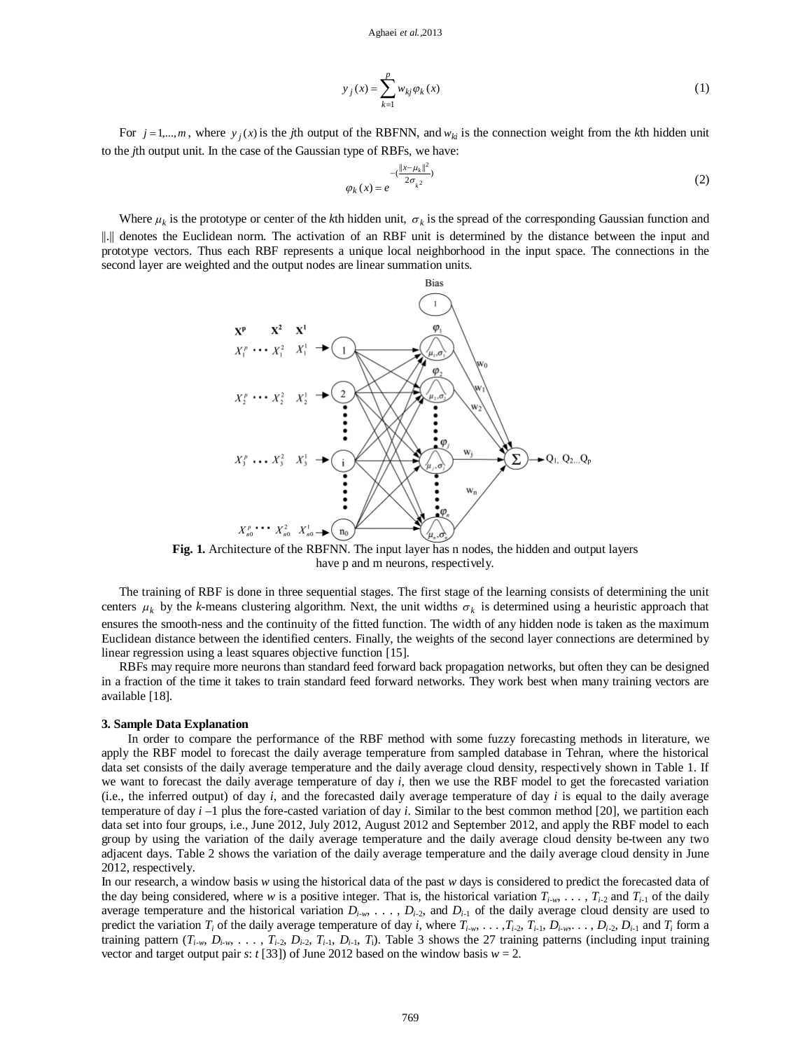Aghaei *et al.,*2013

$$
y_j(x) = \sum_{k=1}^{p} w_{kj} \varphi_k(x)
$$
 (1)

For  $j = 1,...,m$ , where  $y_j(x)$  is the *j*th output of the RBFNN, and  $w_{ki}$  is the connection weight from the *k*th hidden unit to the *j*th output unit. In the case of the Gaussian type of RBFs, we have:

$$
\varphi_k(x) = e^{-\left(\frac{||x - \mu_k||^2}{2\sigma_k^2}\right)}\tag{2}
$$

Where  $\mu_k$  is the prototype or center of the *k*th hidden unit,  $\sigma_k$  is the spread of the corresponding Gaussian function and ||.|| denotes the Euclidean norm. The activation of an RBF unit is determined by the distance between the input and prototype vectors. Thus each RBF represents a unique local neighborhood in the input space. The connections in the second layer are weighted and the output nodes are linear summation units.



**Fig. 1.** Architecture of the RBFNN. The input layer has n nodes, the hidden and output layers have p and m neurons, respectively.

The training of RBF is done in three sequential stages. The first stage of the learning consists of determining the unit centers  $\mu_k$  by the *k*-means clustering algorithm. Next, the unit widths  $\sigma_k$  is determined using a heuristic approach that ensures the smooth-ness and the continuity of the fitted function. The width of any hidden node is taken as the maximum Euclidean distance between the identified centers. Finally, the weights of the second layer connections are determined by linear regression using a least squares objective function [15].

RBFs may require more neurons than standard feed forward back propagation networks, but often they can be designed in a fraction of the time it takes to train standard feed forward networks. They work best when many training vectors are available [18].

#### **3. Sample Data Explanation**

In order to compare the performance of the RBF method with some fuzzy forecasting methods in literature, we apply the RBF model to forecast the daily average temperature from sampled database in Tehran, where the historical data set consists of the daily average temperature and the daily average cloud density, respectively shown in Table 1. If we want to forecast the daily average temperature of day *i*, then we use the RBF model to get the forecasted variation (i.e., the inferred output) of day *i*, and the forecasted daily average temperature of day *i* is equal to the daily average temperature of day *i* –1 plus the fore-casted variation of day *i*. Similar to the best common method [20], we partition each data set into four groups, i.e., June 2012, July 2012, August 2012 and September 2012, and apply the RBF model to each group by using the variation of the daily average temperature and the daily average cloud density be-tween any two adjacent days. Table 2 shows the variation of the daily average temperature and the daily average cloud density in June 2012, respectively.

In our research, a window basis *w* using the historical data of the past *w* days is considered to predict the forecasted data of the day being considered, where *w* is a positive integer. That is, the historical variation  $T_{i-w}$ , ...,  $T_{i-2}$  and  $T_{i-1}$  of the daily average temperature and the historical variation  $D_{i-w}$ , ...,  $D_{i-2}$ , and  $D_{i-1}$  of the daily average cloud density are used to predict the variation  $T_i$  of the daily average temperature of day i, where  $T_{i\rightarrow v}$ , ...,  $T_{i\cdot 2}$ ,  $T_{i\cdot 1}$ ,  $D_{i\rightarrow v}$ , ...,  $D_{i\cdot 2}$ ,  $D_{i\cdot 1}$  and  $T_i$  form a training pattern  $(T_{i-w}, D_{i-w}, \ldots, T_{i-2}, D_{i-2}, T_{i-1}, D_{i-1}, T_i)$ . Table 3 shows the 27 training patterns (including input training vector and target output pair *s*: *t* [33]) of June 2012 based on the window basis  $w = 2$ .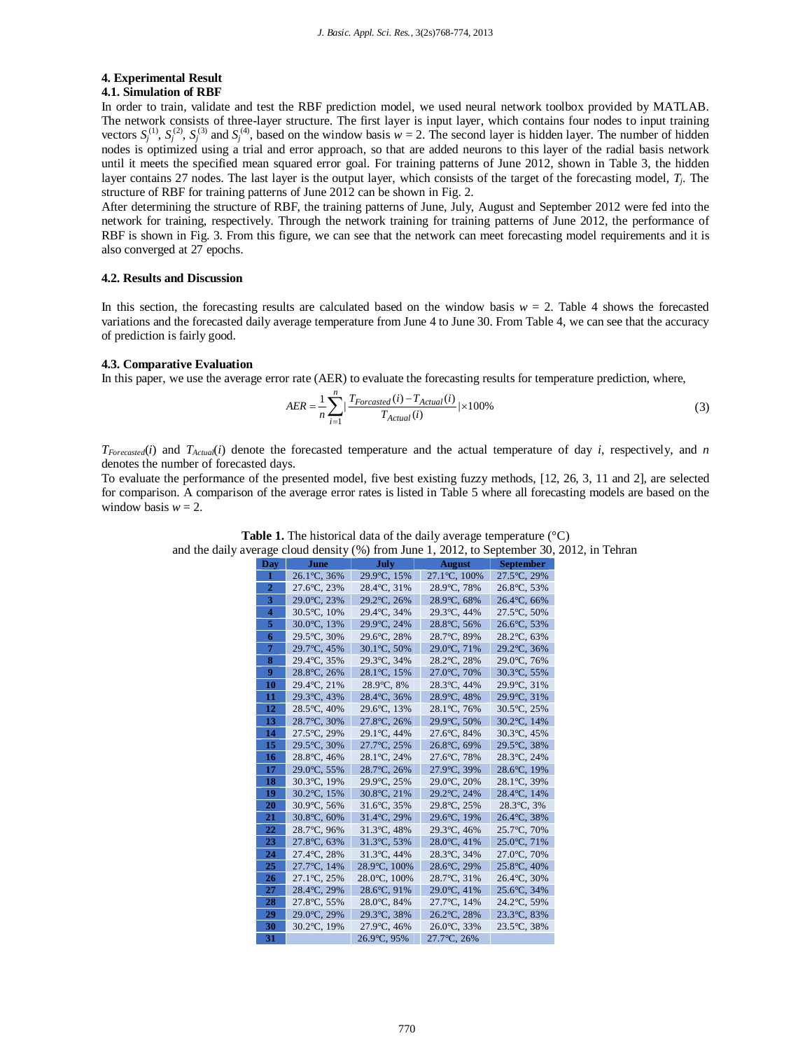# **4. Experimental Result**

# **4.1. Simulation of RBF**

In order to train, validate and test the RBF prediction model, we used neural network toolbox provided by MATLAB. The network consists of three-layer structure. The first layer is input layer, which contains four nodes to input training vectors  $S_j^{(1)}$ ,  $S_j^{(2)}$ ,  $S_j^{(3)}$  and  $S_j^{(4)}$ , based on the window basis  $w = 2$ . The second layer is hidden layer. The number of hidden nodes is optimized using a trial and error approach, so that are added neurons to this layer of the radial basis network until it meets the specified mean squared error goal. For training patterns of June 2012, shown in Table 3, the hidden layer contains 27 nodes. The last layer is the output layer, which consists of the target of the forecasting model, *T<sup>j</sup>* . The structure of RBF for training patterns of June 2012 can be shown in Fig. 2.

After determining the structure of RBF, the training patterns of June, July, August and September 2012 were fed into the network for training, respectively. Through the network training for training patterns of June 2012, the performance of RBF is shown in Fig. 3. From this figure, we can see that the network can meet forecasting model requirements and it is also converged at 27 epochs.

### **4.2. Results and Discussion**

In this section, the forecasting results are calculated based on the window basis  $w = 2$ . Table 4 shows the forecasted variations and the forecasted daily average temperature from June 4 to June 30. From Table 4, we can see that the accuracy of prediction is fairly good.

### **4.3. Comparative Evaluation**

In this paper, we use the average error rate (AER) to evaluate the forecasting results for temperature prediction, where,

$$
AER = \frac{1}{n} \sum_{i=1}^{n} \left| \frac{T_{Forcasted}(i) - T_{Actual}(i)}{T_{Actual}(i)} \right| \times 100\%
$$
\n
$$
\tag{3}
$$

 $T_{Forecasted}(i)$  and  $T_{Actual}(i)$  denote the forecasted temperature and the actual temperature of day *i*, respectively, and *n* denotes the number of forecasted days.

To evaluate the performance of the presented model, five best existing fuzzy methods, [12, 26, 3, 11 and 2], are selected for comparison. A comparison of the average error rates is listed in Table 5 where all forecasting models are based on the window basis  $w = 2$ .

| Day | June                     | July                     | <b>August</b>            | September             |
|-----|--------------------------|--------------------------|--------------------------|-----------------------|
| 1   | 26.1°C, 36%              | 29.9 °C, 15%             | 27.1°C, 100%             | 27.5°C, 29%           |
| 2   | 27.6°C, 23%              | 28.4°C, 31%              | 28.9°C, 78%              | 26.8°C, 53%           |
| 3   | 29.0°C, 23%              | $29.2$ °C, 26%           | 28.9 °C, 68%             | 26.4°C, 66%           |
| 4   | 30.5°C, 10%              | 29.4°C, 34%              | 29.3°C, 44%              | 27.5°C, 50%           |
| 5   | 30.0°C, 13%              | 29.9°C, 24%              | 28.8°C, 56%              | 26.6°C, 53%           |
| 6   | 29.5°C, 30%              | 29.6°C, 28%              | 28.7°C, 89%              | 28.2°C, 63%           |
| 7   | 29.7°C, 45%              | $30.1^{\circ}$ C, 50%    | 29.0°C, 71%              | 29.2°C, 36%           |
| 8   | 29.4°C, 35%              | 29.3°C, 34%              | 28.2°C, 28%              | 29.0°C, 76%           |
| 9   | 28.8°C, 26%              | 28.1°C, 15%              | $27.0^{\circ}$ C, 70%    | 30.3°C, 55%           |
| 10  | 29.4°C, 21%              | 28.9°C, 8%               | 28.3°C, 44%              | 29.9°C, 31%           |
| 11  | 29.3°C. 43%              | 28.4°C, 36%              | 28.9 °C. 48%             | 29.9°C, 31%           |
| 12  | 28.5°C, 40%              | 29.6°C, 13%              | 28.1 °C, 76%             | 30.5°C, 25%           |
| 13  | 28.7°C, 30%              | 27.8°C, 26%              | 29.9 °C, 50%             | 30.2°C, 14%           |
| 14  | 27.5°C. 29%              | 29.1 °C, 44%             | 27.6°C, 84%              | 30.3 °C, 45%          |
| 15  | 29.5°C, 30%              | $27.7^{\circ}$ C, $25\%$ | 26.8°C, 69%              | 29.5°C, 38%           |
| 16  | 28.8°C, 46%              | 28.1°C, 24%              | 27.6°C, 78%              | 28.3°C, 24%           |
| 17  | 29.0°C, 55%              | $28.7^{\circ}$ C, $26\%$ | 27.9 °C, 39%             | 28.6°C, 19%           |
| 18  | 30.3°C, 19%              | 29.9 °C, 25%             | $29.0^{\circ}$ C, $20\%$ | 28.1 °C, 39%          |
| 19  | 30.2°C, 15%              | 30.8°C, 21%              | 29.2°C, 24%              | 28.4°C, 14%           |
| 20  | 30.9°C, 56%              | 31.6°C, 35%              | 29.8°C, 25%              | 28.3°C, 3%            |
| 21  | $30.8^{\circ}$ C, 60%    | 31.4°C, 29%              | 29.6°C, 19%              | 26.4°C, 38%           |
| 22  | 28.7°C, 96%              | $31.3^{\circ}$ C, 48%    | 29.3°C, 46%              | 25.7°C, 70%           |
| 23  | 27.8°C, 63%              | $31.3^{\circ}$ C, 53%    | $28.0^{\circ}$ C, 41%    | 25.0°C, 71%           |
| 24  | 27.4 °C. 28%             | $31.3^{\circ}$ C. 44%    | 28.3 °C. 34%             | 27.0°C. 70%           |
| 25  | 27.7°C, 14%              | 28.9 °C, 100%            | $28.6^{\circ}$ C, 29%    | 25.8°C, 40%           |
| 26  | $27.1^{\circ}$ C, $25\%$ | 28.0°C, 100%             | 28.7 °C, 31%             | 26.4°C, 30%           |
| 27  | 28.4°C, 29%              | 28.6°C, 91%              | 29.0°C, 41%              | 25.6°C, 34%           |
| 28  | $27.8^{\circ}$ C, 55%    | $28.0^{\circ}$ C, 84%    | 27.7 °C, 14%             | $24.2^{\circ}$ C, 59% |
| 29  | 29.0°C, 29%              | 29.3°C, 38%              | 26.2°C, 28%              | 23.3°C, 83%           |
| 30  | 30.2°C, 19%              | 27.9 °C, 46%             | $26.0^{\circ}$ C, 33%    | 23.5°C, 38%           |
| 31  |                          | 26.9°C, 95%              | 27.7°C, 26%              |                       |

**Table 1.** The historical data of the daily average temperature (°C) and the daily average cloud density (%) from June 1, 2012, to September 30, 2012, in Tehran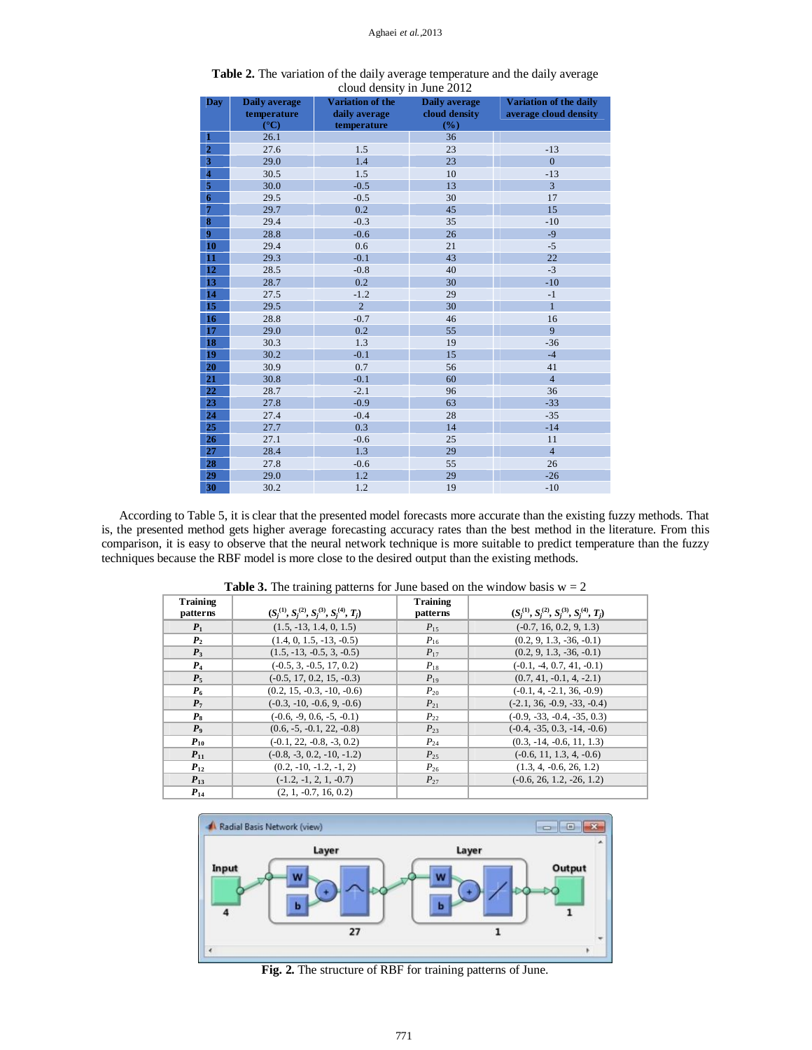| Day                     | Daily average | <b>Variation of the</b> | Daily average | Variation of the daily |  |
|-------------------------|---------------|-------------------------|---------------|------------------------|--|
|                         | temperature   | daily average           | cloud density | average cloud density  |  |
|                         | $(^{\circ}C)$ | temperature             | (%)           |                        |  |
| ı                       | 26.1          |                         | 36            |                        |  |
| $\overline{2}$          | 27.6          | 1.5                     | 23            | $-13$                  |  |
| $\overline{\mathbf{3}}$ | 29.0          | 1.4                     | 23            | $\overline{0}$         |  |
| $\overline{\mathbf{4}}$ | 30.5          | 1.5                     | 10            | $-13$                  |  |
| 5                       | 30.0          | $-0.5$                  | 13            | $\overline{3}$         |  |
| 6                       | 29.5          | $-0.5$                  | 30            | 17                     |  |
| $\overline{7}$          | 29.7          | 0.2                     | 45            | 15                     |  |
| $\overline{\bf 8}$      | 29.4          | $-0.3$                  | 35            | $-10$                  |  |
| 9                       | 28.8          | $-0.6$                  | 26            | $-9$                   |  |
| 10                      | 29.4          | 0.6                     | 21            | $-5$                   |  |
| 11                      | 29.3          | $-0.1$                  | 43            | 22                     |  |
| 12                      | 28.5          | $-0.8$                  | 40            | $-3$                   |  |
| 13                      | 28.7          | 0.2                     | 30            | $-10$                  |  |
| 14                      | 27.5          | $-1.2$                  | 29            | $-1$                   |  |
| 15                      | 29.5          | $\overline{2}$          | 30            | $\mathbf{1}$           |  |
| 16                      | 28.8          | $-0.7$                  | 46            | 16                     |  |
| 17                      | 29.0          | 0.2                     | 55            | 9                      |  |
| 18                      | 30.3          | 1.3                     | 19            | $-36$                  |  |
| 19                      | 30.2          | $-0.1$                  | 15            | $-4$                   |  |
| 20                      | 30.9          | 0.7                     | 56            | 41                     |  |
| 21                      | 30.8          | $-0.1$                  | 60            | $\overline{4}$         |  |
| 22                      | 28.7          | $-2.1$                  | 96            | 36                     |  |
| 23                      | 27.8          | $-0.9$                  | 63            | $-33$                  |  |
| 24                      | 27.4          | $-0.4$                  | 28            | $-35$                  |  |
| 25                      | 27.7          | 0.3                     | 14            | $-14$                  |  |
| 26                      | 27.1          | $-0.6$                  | 25            | 11                     |  |
| 27                      | 28.4          | 1.3                     | 29            | $\overline{4}$         |  |
| 28                      | 27.8          | $-0.6$                  | 55            | 26                     |  |
| 29                      | 29.0          | 1.2                     | 29            | $-26$                  |  |
| 30                      | 30.2          | 1.2                     | 19            | $-10$                  |  |

|  |  |  | Table 2. The variation of the daily average temperature and the daily average |  |  |
|--|--|--|-------------------------------------------------------------------------------|--|--|
|  |  |  | cloud density in June 2012                                                    |  |  |

According to Table 5, it is clear that the presented model forecasts more accurate than the existing fuzzy methods. That is, the presented method gets higher average forecasting accuracy rates than the best method in the literature. From this comparison, it is easy to observe that the neural network technique is more suitable to predict temperature than the fuzzy techniques because the RBF model is more close to the desired output than the existing methods.

| Training<br>patterns | $(S_j^{(1)}, S_j^{(2)}, S_j^{(3)}, S_j^{(4)}, T_j)$ | Training<br>patterns | $(S_j^{(1)}, S_j^{(2)}, S_j^{(3)}, S_j^{(4)}, T_j)$ |
|----------------------|-----------------------------------------------------|----------------------|-----------------------------------------------------|
| $P_1$                | $(1.5, -13, 1.4, 0, 1.5)$                           | $P_{15}$             | $(-0.7, 16, 0.2, 9, 1.3)$                           |
| P <sub>2</sub>       | $(1.4, 0, 1.5, -13, -0.5)$                          | $P_{16}$             | $(0.2, 9, 1.3, -36, -0.1)$                          |
| $P_3$                | $(1.5, -13, -0.5, 3, -0.5)$                         | $P_{17}$             | $(0.2, 9, 1.3, -36, -0.1)$                          |
| $P_4$                | $(-0.5, 3, -0.5, 17, 0.2)$                          | $P_{18}$             | $(-0.1, -4, 0.7, 41, -0.1)$                         |
| $P_5$                | $(-0.5, 17, 0.2, 15, -0.3)$                         | $P_{19}$             | $(0.7, 41, -0.1, 4, -2.1)$                          |
| $P_6$                | $(0.2, 15, -0.3, -10, -0.6)$                        | $P_{20}$             | $(-0.1, 4, -2.1, 36, -0.9)$                         |
| $P_7$                | $(-0.3, -10, -0.6, 9, -0.6)$                        | $P_{21}$             | $(-2.1, 36, -0.9, -33, -0.4)$                       |
| $P_8$                | $(-0.6, -9, 0.6, -5, -0.1)$                         | $P_{22}$             | $(-0.9, -33, -0.4, -35, 0.3)$                       |
| P <sub>9</sub>       | $(0.6, -5, -0.1, 22, -0.8)$                         | $P_{23}$             | $(-0.4, -35, 0.3, -14, -0.6)$                       |
| $P_{10}$             | $(-0.1, 22, -0.8, -3, 0.2)$                         | $P_{24}$             | $(0.3, -14, -0.6, 11, 1.3)$                         |
| $P_{11}$             | $(-0.8, -3, 0.2, -10, -1.2)$                        | $P_{25}$             | $(-0.6, 11, 1.3, 4, -0.6)$                          |
| $P_{12}$             | $(0.2, -10, -1.2, -1, 2)$                           | $P_{26}$             | $(1.3, 4, -0.6, 26, 1.2)$                           |
| $P_{13}$             | $(-1.2, -1, 2, 1, -0.7)$                            | $P_{27}$             | $(-0.6, 26, 1.2, -26, 1.2)$                         |
| $P_{14}$             | $(2, 1, -0.7, 16, 0.2)$                             |                      |                                                     |

**Table 3.** The training patterns for June based on the window basis  $w = 2$ 



**Fig. 2.** The structure of RBF for training patterns of June.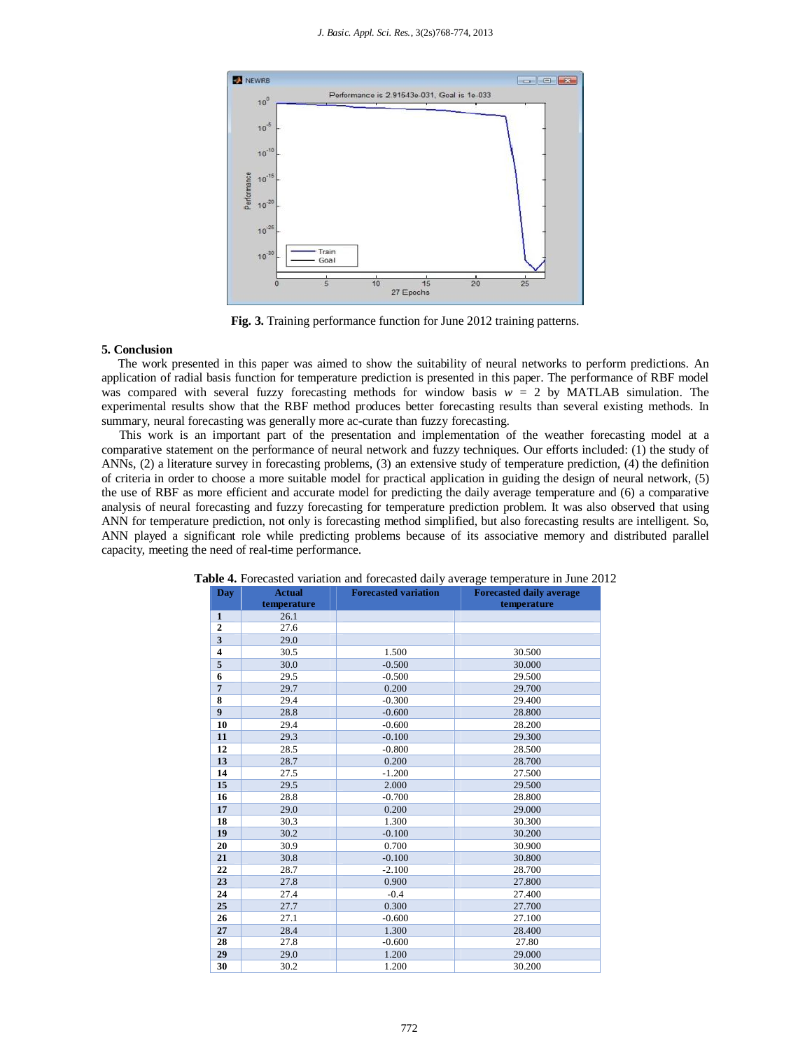

**Fig. 3.** Training performance function for June 2012 training patterns.

### **5. Conclusion**

The work presented in this paper was aimed to show the suitability of neural networks to perform predictions. An application of radial basis function for temperature prediction is presented in this paper. The performance of RBF model was compared with several fuzzy forecasting methods for window basis  $w = 2$  by MATLAB simulation. The experimental results show that the RBF method produces better forecasting results than several existing methods. In summary, neural forecasting was generally more ac-curate than fuzzy forecasting.

This work is an important part of the presentation and implementation of the weather forecasting model at a comparative statement on the performance of neural network and fuzzy techniques. Our efforts included: (1) the study of ANNs, (2) a literature survey in forecasting problems, (3) an extensive study of temperature prediction, (4) the definition of criteria in order to choose a more suitable model for practical application in guiding the design of neural network, (5) the use of RBF as more efficient and accurate model for predicting the daily average temperature and (6) a comparative analysis of neural forecasting and fuzzy forecasting for temperature prediction problem. It was also observed that using ANN for temperature prediction, not only is forecasting method simplified, but also forecasting results are intelligent. So, ANN played a significant role while predicting problems because of its associative memory and distributed parallel capacity, meeting the need of real-time performance.

| Day                     | <b>Actual</b> | <b>Forecasted variation</b> | <b>Forecasted daily average</b> |
|-------------------------|---------------|-----------------------------|---------------------------------|
|                         | temperature   |                             | temperature                     |
| $\mathbf{1}$            | 26.1          |                             |                                 |
| $\overline{2}$          | 27.6          |                             |                                 |
| 3                       | 29.0          |                             |                                 |
| $\overline{\bf{4}}$     | 30.5          | 1.500                       | 30.500                          |
| $\overline{\mathbf{5}}$ | 30.0          | $-0.500$                    | 30.000                          |
| 6                       | 29.5          | $-0.500$                    | 29.500                          |
| $\overline{7}$          | 29.7          | 0.200                       | 29.700                          |
| 8                       | 29.4          | $-0.300$                    | 29.400                          |
| $\overline{9}$          | 28.8          | $-0.600$                    | 28.800                          |
| 10                      | 29.4          | $-0.600$                    | 28.200                          |
| 11                      | 29.3          | $-0.100$                    | 29.300                          |
| 12                      | 28.5          | $-0.800$                    | 28.500                          |
| 13                      | 28.7          | 0.200                       | 28.700                          |
| 14                      | 27.5          | $-1.200$                    | 27.500                          |
| 15                      | 29.5          | 2.000                       | 29.500                          |
| 16                      | 28.8          | $-0.700$                    | 28.800                          |
| 17                      | 29.0          | 0.200                       | 29.000                          |
| 18                      | 30.3          | 1.300                       | 30.300                          |
| 19                      | 30.2          | $-0.100$                    | 30.200                          |
| 20                      | 30.9          | 0.700                       | 30.900                          |
| 21                      | 30.8          | $-0.100$                    | 30.800                          |
| 22                      | 28.7          | $-2.100$                    | 28.700                          |
| 23                      | 27.8          | 0.900                       | 27.800                          |
| 24                      | 27.4          | $-0.4$                      | 27.400                          |
| 25                      | 27.7          | 0.300                       | 27.700                          |
| 26                      | 27.1          | $-0.600$                    | 27.100                          |
| 27                      | 28.4          | 1.300                       | 28.400                          |
| 28                      | 27.8          | $-0.600$                    | 27.80                           |
| 29                      | 29.0          | 1.200                       | 29.000                          |
| 30                      | 30.2          | 1.200                       | 30.200                          |

**Table 4.** Forecasted variation and forecasted daily average temperature in June 2012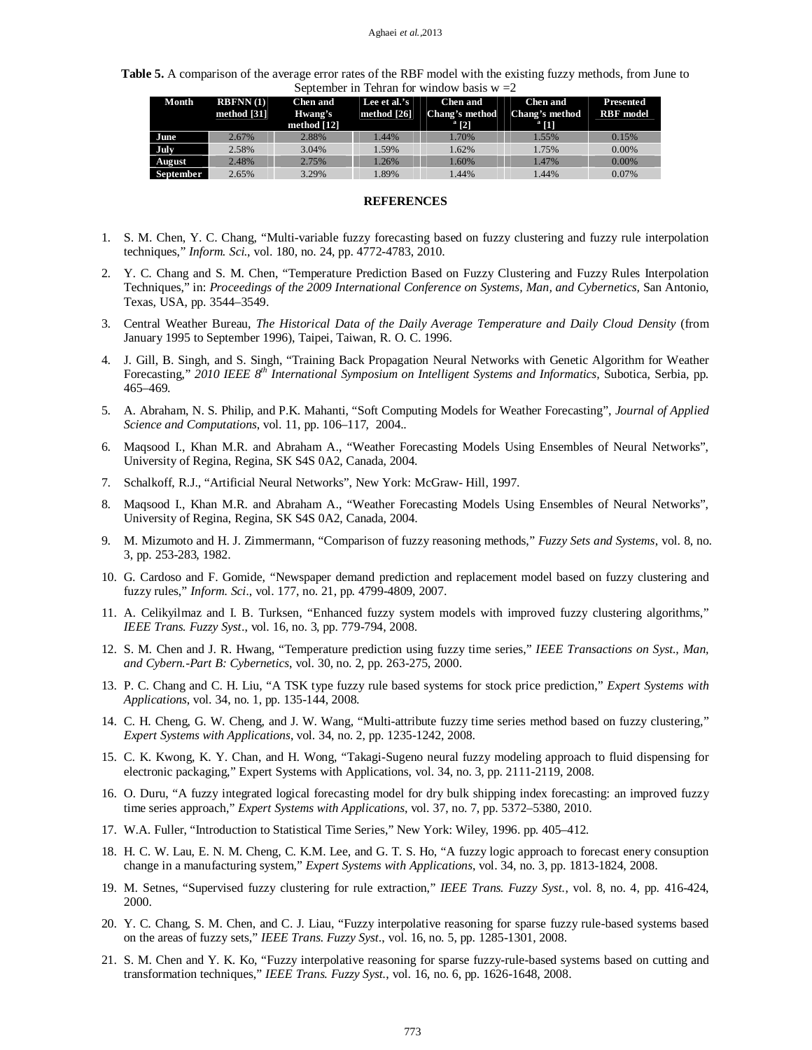**Table 5.** A comparison of the average error rates of the RBF model with the existing fuzzy methods, from June to September in Tehran for window basis  $w = 2$ 

| Month         | <b>RBFNN(1)</b><br>method [31] | <b>Chen and</b><br>Hwang's<br>method $[12]$ | Lee $et$ al.'s<br>method $[26]$ | <b>Chen</b> and<br>Chang's method<br>$a_{121}$ | <b>Chen</b> and<br>Chang's method<br>$^{\circ}$ [1] | Presented<br><b>RBF</b> model |
|---------------|--------------------------------|---------------------------------------------|---------------------------------|------------------------------------------------|-----------------------------------------------------|-------------------------------|
| June          | 2.67%                          | 2.88%                                       | 1.44%                           | 1.70%                                          | 1.55%                                               | 0.15%                         |
| July          | 2.58%                          | 3.04%                                       | 1.59%                           | 1.62%                                          | 1.75%                                               | $0.00\%$                      |
| <b>August</b> | 2.48%                          | 2.75%                                       | .26%                            | 1.60%                                          | 1.47%                                               | $0.00\%$                      |
| September     | 2.65%                          | 3.29%                                       | .89%                            | 1.44%                                          | 1.44%                                               | 0.07%                         |

### **REFERENCES**

- 1. S. M. Chen, Y. C. Chang, "Multi-variable fuzzy forecasting based on fuzzy clustering and fuzzy rule interpolation techniques," *Inform. Sci.*, vol. 180, no. 24, pp. 4772-4783, 2010.
- 2. Y. C. Chang and S. M. Chen, "Temperature Prediction Based on Fuzzy Clustering and Fuzzy Rules Interpolation Techniques," in: *Proceedings of the 2009 International Conference on Systems, Man, and Cybernetics,* San Antonio, Texas, USA, pp. 3544–3549.
- 3. Central Weather Bureau, *The Historical Data of the Daily Average Temperature and Daily Cloud Density* (from January 1995 to September 1996), Taipei, Taiwan, R. O. C. 1996.
- 4. J. Gill, B. Singh, and S. Singh, "Training Back Propagation Neural Networks with Genetic Algorithm for Weather Forecasting," *2010 IEEE 8th International Symposium on Intelligent Systems and Informatics,* Subotica, Serbia, pp. 465–469.
- 5. A. Abraham, N. S. Philip, and P.K. Mahanti, "Soft Computing Models for Weather Forecasting", *Journal of Applied Science and Computations*, vol. 11, pp. 106–117, 2004..
- 6. Maqsood I., Khan M.R. and Abraham A., "Weather Forecasting Models Using Ensembles of Neural Networks", University of Regina, Regina, SK S4S 0A2, Canada, 2004.
- 7. Schalkoff, R.J., "Artificial Neural Networks", New York: McGraw- Hill, 1997.
- 8. Maqsood I., Khan M.R. and Abraham A., "Weather Forecasting Models Using Ensembles of Neural Networks", University of Regina, Regina, SK S4S 0A2, Canada, 2004.
- 9. M. Mizumoto and H. J. Zimmermann, "Comparison of fuzzy reasoning methods," *Fuzzy Sets and Systems*, vol. 8, no. 3, pp. 253-283, 1982.
- 10. G. Cardoso and F. Gomide, "Newspaper demand prediction and replacement model based on fuzzy clustering and fuzzy rules," *Inform. Sci.*, vol. 177, no. 21, pp. 4799-4809, 2007.
- 11. A. Celikyilmaz and I. B. Turksen, "Enhanced fuzzy system models with improved fuzzy clustering algorithms," *IEEE Trans. Fuzzy Syst*., vol. 16, no. 3, pp. 779-794, 2008.
- 12. S. M. Chen and J. R. Hwang, "Temperature prediction using fuzzy time series," *IEEE Transactions on Syst., Man, and Cybern.-Part B: Cybernetics*, vol. 30, no. 2, pp. 263-275, 2000.
- 13. P. C. Chang and C. H. Liu, "A TSK type fuzzy rule based systems for stock price prediction," *Expert Systems with Applications*, vol. 34, no. 1, pp. 135-144, 2008.
- 14. C. H. Cheng, G. W. Cheng, and J. W. Wang, "Multi-attribute fuzzy time series method based on fuzzy clustering," *Expert Systems with Applications*, vol. 34, no. 2, pp. 1235-1242, 2008.
- 15. C. K. Kwong, K. Y. Chan, and H. Wong, "Takagi-Sugeno neural fuzzy modeling approach to fluid dispensing for electronic packaging," Expert Systems with Applications, vol. 34, no. 3, pp. 2111-2119, 2008.
- 16. O. Duru, "A fuzzy integrated logical forecasting model for dry bulk shipping index forecasting: an improved fuzzy time series approach," *Expert Systems with Applications*, vol. 37, no. 7, pp. 5372–5380, 2010.
- 17. W.A. Fuller, "Introduction to Statistical Time Series," New York: Wiley, 1996. pp. 405–412.
- 18. H. C. W. Lau, E. N. M. Cheng, C. K.M. Lee, and G. T. S. Ho, "A fuzzy logic approach to forecast enery consuption change in a manufacturing system," *Expert Systems with Applications*, vol. 34, no. 3, pp. 1813-1824, 2008.
- 19. M. Setnes, "Supervised fuzzy clustering for rule extraction," *IEEE Trans. Fuzzy Syst.*, vol. 8, no. 4, pp. 416-424, 2000.
- 20. Y. C. Chang, S. M. Chen, and C. J. Liau, "Fuzzy interpolative reasoning for sparse fuzzy rule-based systems based on the areas of fuzzy sets," *IEEE Trans. Fuzzy Syst*., vol. 16, no. 5, pp. 1285-1301, 2008.
- 21. S. M. Chen and Y. K. Ko, "Fuzzy interpolative reasoning for sparse fuzzy-rule-based systems based on cutting and transformation techniques," *IEEE Trans. Fuzzy Syst.*, vol. 16, no. 6, pp. 1626-1648, 2008.